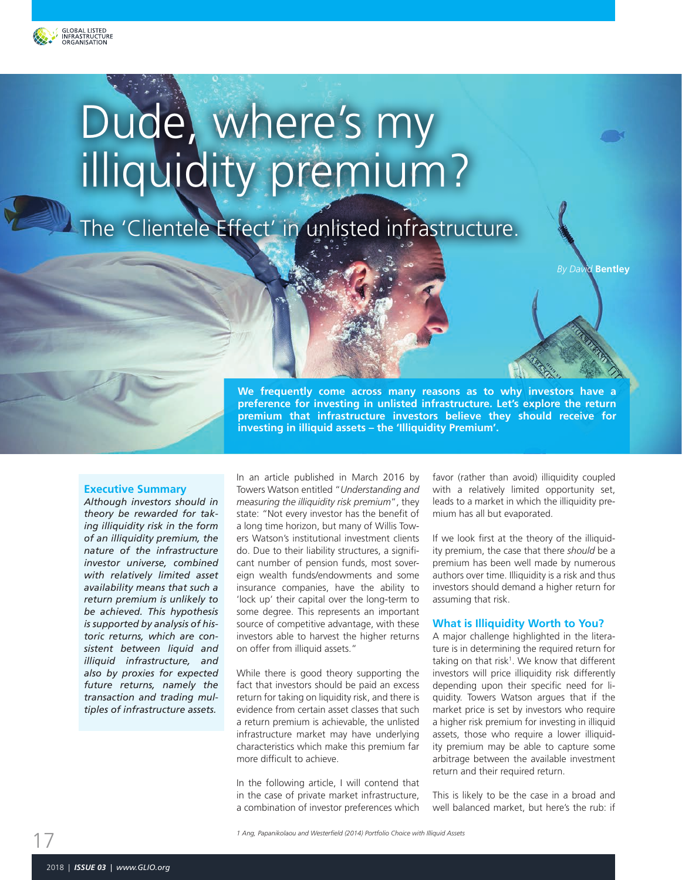

# Dude, where's my illiquidity premium?

The 'Clientele Effect' in unlisted infrastructure.

*By David* **Bentley**

**We frequently come across many reasons as to why investors have a preference for investing in unlisted infrastructure. Let's explore the return premium that infrastructure investors believe they should receive for investing in illiquid assets – the 'Illiquidity Premium'.**

#### **Executive Summary**

*Although investors should in theory be rewarded for taking illiquidity risk in the form of an illiquidity premium, the nature of the infrastructure investor universe, combined with relatively limited asset availability means that such a return premium is unlikely to be achieved. This hypothesis is supported by analysis of historic returns, which are consistent between liquid and illiquid infrastructure, and also by proxies for expected future returns, namely the transaction and trading multiples of infrastructure assets.*

In an article published in March 2016 by Towers Watson entitled "*Understanding and measuring the illiquidity risk premium*", they state: "Not every investor has the benefit of a long time horizon, but many of Willis Towers Watson's institutional investment clients do. Due to their liability structures, a significant number of pension funds, most sovereign wealth funds/endowments and some insurance companies, have the ability to 'lock up' their capital over the long-term to some degree. This represents an important source of competitive advantage, with these investors able to harvest the higher returns on offer from illiquid assets."

While there is good theory supporting the fact that investors should be paid an excess return for taking on liquidity risk, and there is evidence from certain asset classes that such a return premium is achievable, the unlisted infrastructure market may have underlying characteristics which make this premium far more difficult to achieve.

In the following article, I will contend that in the case of private market infrastructure, a combination of investor preferences which favor (rather than avoid) illiquidity coupled with a relatively limited opportunity set, leads to a market in which the illiquidity premium has all but evaporated.

If we look first at the theory of the illiquidity premium, the case that there *should* be a premium has been well made by numerous authors over time. Illiquidity is a risk and thus investors should demand a higher return for assuming that risk.

#### **What is Illiquidity Worth to You?**

A major challenge highlighted in the literature is in determining the required return for taking on that risk<sup>1</sup>. We know that different investors will price illiquidity risk differently depending upon their specific need for liquidity. Towers Watson argues that if the market price is set by investors who require a higher risk premium for investing in illiquid assets, those who require a lower illiquidity premium may be able to capture some arbitrage between the available investment return and their required return.

This is likely to be the case in a broad and well balanced market, but here's the rub: if

17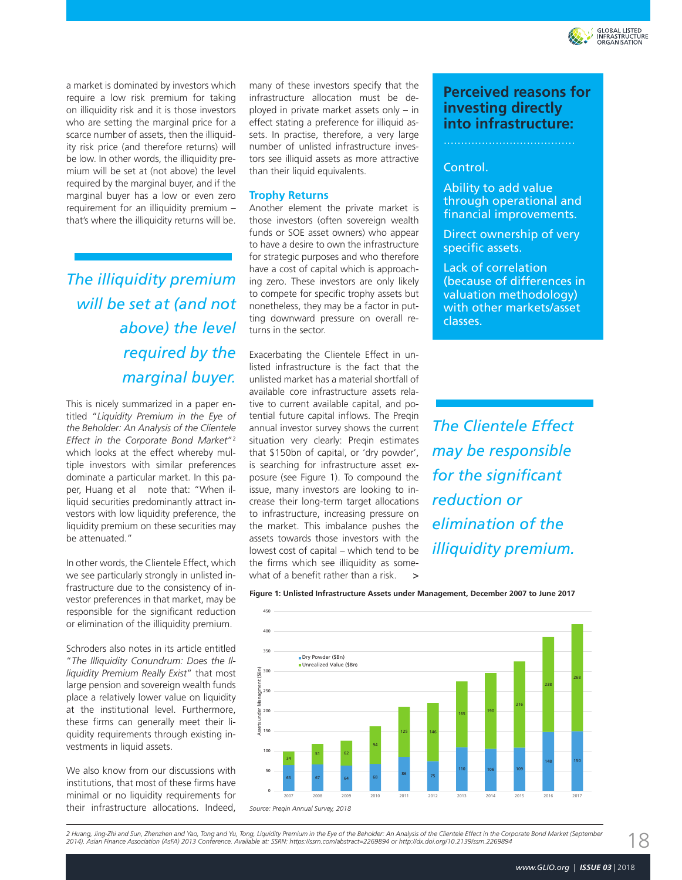

a market is dominated by investors which require a low risk premium for taking on illiquidity risk and it is those investors who are setting the marginal price for a scarce number of assets, then the illiquidity risk price (and therefore returns) will be low. In other words, the illiquidity premium will be set at (not above) the level required by the marginal buyer, and if the marginal buyer has a low or even zero requirement for an illiquidity premium that's where the illiquidity returns will be.

*The illiquidity premium will be set at (and not above) the level required by the marginal buyer.*

This is nicely summarized in a paper entitled "*Liquidity Premium in the Eye of the Beholder: An Analysis of the Clientele Effect in the Corporate Bond Market*"2 which looks at the effect whereby multiple investors with similar preferences dominate a particular market. In this paper, Huang et al note that: "When illiquid securities predominantly attract investors with low liquidity preference, the liquidity premium on these securities may be attenuated."

In other words, the Clientele Effect, which we see particularly strongly in unlisted infrastructure due to the consistency of investor preferences in that market, may be responsible for the significant reduction or elimination of the illiquidity premium.

Schroders also notes in its article entitled "*The Illiquidity Conundrum: Does the Illiquidity Premium Really Exist*" that most large pension and sovereign wealth funds place a relatively lower value on liquidity at the institutional level. Furthermore, these firms can generally meet their liquidity requirements through existing investments in liquid assets.

We also know from our discussions with institutions, that most of these firms have minimal or no liquidity requirements for their infrastructure allocations. Indeed, many of these investors specify that the infrastructure allocation must be deployed in private market assets only – in effect stating a preference for illiquid assets. In practise, therefore, a very large number of unlisted infrastructure investors see illiquid assets as more attractive than their liquid equivalents.

#### **Trophy Returns**

Another element the private market is those investors (often sovereign wealth funds or SOE asset owners) who appear to have a desire to own the infrastructure for strategic purposes and who therefore have a cost of capital which is approaching zero. These investors are only likely to compete for specific trophy assets but nonetheless, they may be a factor in putting downward pressure on overall returns in the sector.

Exacerbating the Clientele Effect in unlisted infrastructure is the fact that the unlisted market has a material shortfall of available core infrastructure assets relative to current available capital, and potential future capital inflows. The Preqin annual investor survey shows the current situation very clearly: Preqin estimates that \$150bn of capital, or 'dry powder', is searching for infrastructure asset exposure (see Figure 1). To compound the issue, many investors are looking to increase their long-term target allocations to infrastructure, increasing pressure on the market. This imbalance pushes the assets towards those investors with the lowest cost of capital – which tend to be the firms which see illiquidity as somewhat of a benefit rather than a risk. >

## **Perceived reasons for investing directly into infrastructure:**

### Control.

Ability to add value through operational and financial improvements.

Direct ownership of very specific assets.

Lack of correlation (because of differences in valuation methodology) with other markets/asset classes.

*The Clientele Effect may be responsible for the significant reduction or elimination of the illiquidity premium.*

Unlisted Infrastructure Assets under Management **Figure 1: Unlisted Infrastructure Assets under Management, December 2007 to June 2017**



2 Huang, Jing-Zhi and Sun, Zhenzhen and Yao, Tong and Yu, Tong, Liquidity Premium in the Eye of the Beholder: An Analysis of the Clientele Effect in the Corporate Bond Market (September *2014). Asian Finance Association (AsFA) 2013 Conference. Available at: SSRN: https://ssrn.com/abstract=2269894 or http://dx.doi.org/10.2139/ssrn.2269894*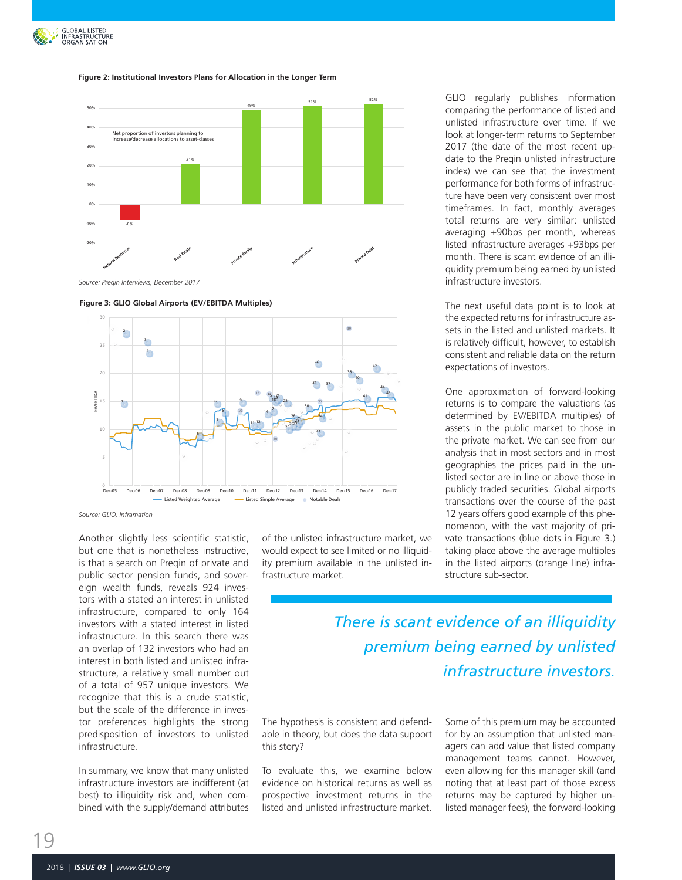

#### Figure 2: Institutional Investors Plans for Allocation in the Longer Term



Source: Preqin 2018 Infrastructure Report *Source: Preqin Interviews, December 2017*





*Source: GLIO, Inframation*

Another slightly less scientific statistic, but one that is nonetheless instructive, is that a search on Preqin of private and public sector pension funds, and sovereign wealth funds, reveals 924 investors with a stated an interest in unlisted infrastructure, compared to only 164 investors with a stated interest in listed infrastructure. In this search there was an overlap of 132 investors who had an interest in both listed and unlisted infrastructure, a relatively small number out of a total of 957 unique investors. We recognize that this is a crude statistic, but the scale of the difference in investor preferences highlights the strong predisposition of investors to unlisted infrastructure.

In summary, we know that many unlisted infrastructure investors are indifferent (at best) to illiquidity risk and, when combined with the supply/demand attributes of the unlisted infrastructure market, we would expect to see limited or no illiquidity premium available in the unlisted infrastructure market.

GLIO regularly publishes information comparing the performance of listed and unlisted infrastructure over time. If we look at longer-term returns to September 2017 (the date of the most recent update to the Preqin unlisted infrastructure index) we can see that the investment performance for both forms of infrastructure have been very consistent over most timeframes. In fact, monthly averages total returns are very similar: unlisted averaging +90bps per month, whereas listed infrastructure averages +93bps per month. There is scant evidence of an illiquidity premium being earned by unlisted infrastructure investors.

The next useful data point is to look at the expected returns for infrastructure assets in the listed and unlisted markets. It is relatively difficult, however, to establish consistent and reliable data on the return expectations of investors.

One approximation of forward-looking returns is to compare the valuations (as determined by EV/EBITDA multiples) of assets in the public market to those in the private market. We can see from our analysis that in most sectors and in most geographies the prices paid in the unlisted sector are in line or above those in publicly traded securities. Global airports transactions over the course of the past 12 years offers good example of this phenomenon, with the vast majority of private transactions (blue dots in Figure 3.) taking place above the average multiples in the listed airports (orange line) infrastructure sub-sector.

*There is scant evidence of an illiquidity premium being earned by unlisted infrastructure investors.*

The hypothesis is consistent and defendable in theory, but does the data support this story?

To evaluate this, we examine below evidence on historical returns as well as prospective investment returns in the listed and unlisted infrastructure market.

Some of this premium may be accounted for by an assumption that unlisted managers can add value that listed company management teams cannot. However, even allowing for this manager skill (and noting that at least part of those excess returns may be captured by higher unlisted manager fees), the forward-looking